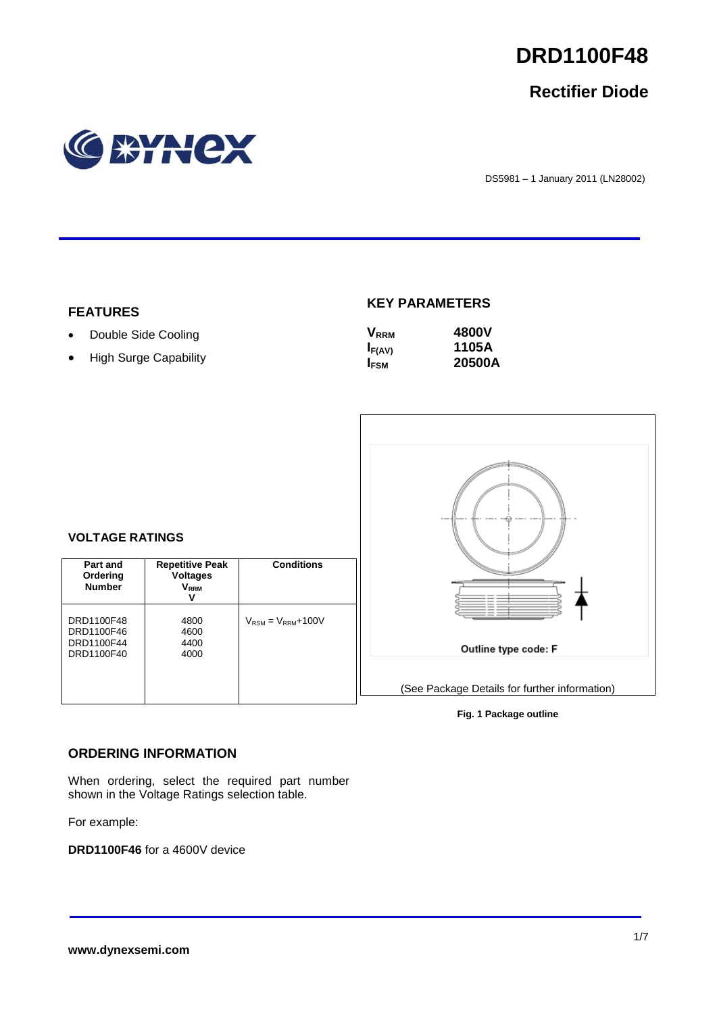

# **Rectifier Diode**



DS5981 – 1 January 2011 (LN28002)

#### **FEATURES**

- Double Side Cooling
- High Surge Capability

**VOLTAGE RATINGS**

**Part and Ordering Number**

DRD1100F48 DRD1100F46 DRD1100F44 DRD1100F40

## **KEY PARAMETERS**

| <b>V</b> <sub>RRM</sub> | 4800V  |
|-------------------------|--------|
| $I_{F(AV)}$             | 1105A  |
| I <sub>FSM</sub>        | 20500A |



#### **Fig. 1 Package outline**

#### **ORDERING INFORMATION**

When ordering, select the required part number shown in the Voltage Ratings selection table.

**Repetitive Peak Voltages VRRM V**

**Conditions**

 $V_{\text{RSM}} = V_{\text{RRM}} + 100V$ 

For example:

**DRD1100F46** for a 4600V device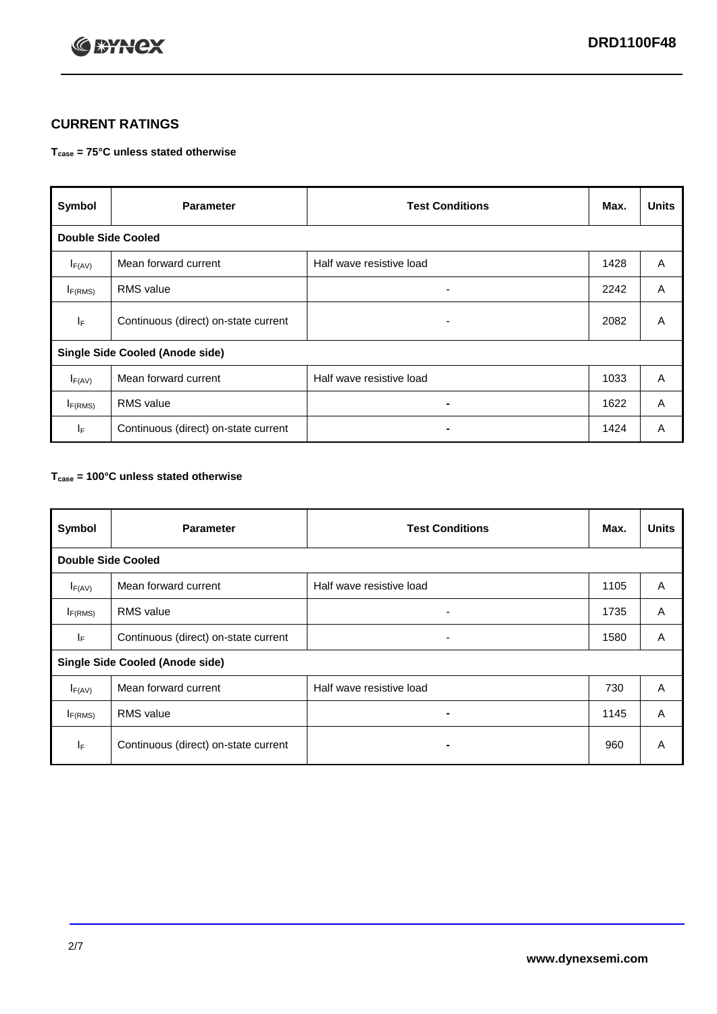

## **CURRENT RATINGS**

#### **Tcase = 75°C unless stated otherwise**

| Symbol                                 | <b>Parameter</b>                     | <b>Test Conditions</b>   | Max. | <b>Units</b> |  |
|----------------------------------------|--------------------------------------|--------------------------|------|--------------|--|
| <b>Double Side Cooled</b>              |                                      |                          |      |              |  |
| $I_{F(AV)}$                            | Mean forward current                 | Half wave resistive load | 1428 | A            |  |
| $I_{F(RMS)}$                           | <b>RMS</b> value                     | ۰                        | 2242 | A            |  |
| IF                                     | Continuous (direct) on-state current | $\overline{\phantom{0}}$ | 2082 | A            |  |
| <b>Single Side Cooled (Anode side)</b> |                                      |                          |      |              |  |
| $I_{F(AV)}$                            | Mean forward current                 | Half wave resistive load | 1033 | A            |  |
| $I_{F(RMS)}$                           | <b>RMS</b> value                     | ۰                        | 1622 | A            |  |
| IF.                                    | Continuous (direct) on-state current |                          | 1424 | A            |  |

#### **Tcase = 100°C unless stated otherwise**

| Symbol                                 | <b>Parameter</b>                     | <b>Test Conditions</b>   | Max. | <b>Units</b> |  |
|----------------------------------------|--------------------------------------|--------------------------|------|--------------|--|
| <b>Double Side Cooled</b>              |                                      |                          |      |              |  |
| $I_{F(AV)}$                            | Mean forward current                 | Half wave resistive load | 1105 | A            |  |
| $I_{F(RMS)}$                           | <b>RMS</b> value                     | ۰                        | 1735 | A            |  |
| IF.                                    | Continuous (direct) on-state current | ٠                        | 1580 | A            |  |
| <b>Single Side Cooled (Anode side)</b> |                                      |                          |      |              |  |
| $I_{F(AV)}$                            | Mean forward current                 | Half wave resistive load | 730  | A            |  |
| I <sub>F(RMS)</sub>                    | <b>RMS</b> value                     |                          | 1145 | A            |  |
| IF                                     | Continuous (direct) on-state current | -                        | 960  | A            |  |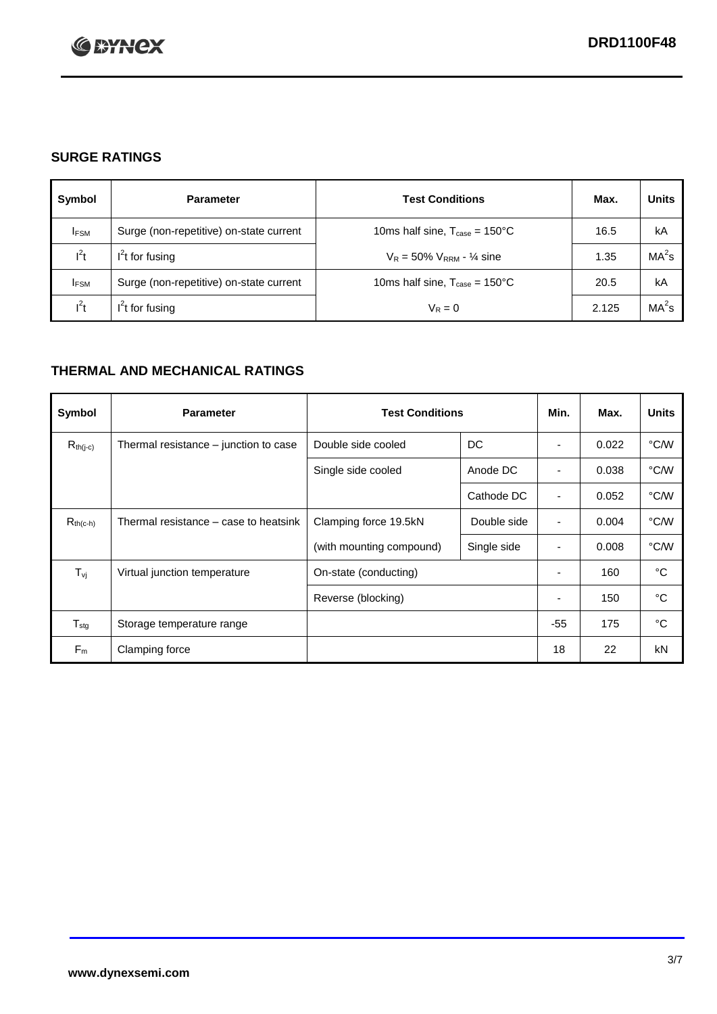

## **SURGE RATINGS**

| Symbol      | <b>Parameter</b>                        | <b>Test Conditions</b>                            | Max.  | <b>Units</b>      |
|-------------|-----------------------------------------|---------------------------------------------------|-------|-------------------|
| <b>IFSM</b> | Surge (non-repetitive) on-state current | 10ms half sine, $T_{\text{case}} = 150^{\circ}$ C | 16.5  | kA                |
| $l^2t$      | $I2t$ for fusing                        | $V_R = 50\% V_{RRM} - \frac{1}{4}$ sine           | 1.35  | MA <sup>2</sup> s |
| <b>IFSM</b> | Surge (non-repetitive) on-state current | 10ms half sine, $T_{\text{case}} = 150^{\circ}$ C | 20.5  | kA                |
| $l^2t$      | $l^2$ t for fusing                      | $V_R = 0$                                         | 2.125 | $MA2$ s           |

## **THERMAL AND MECHANICAL RATINGS**

| Symbol                         | <b>Parameter</b>                      | <b>Test Conditions</b>   |             | Min.                     | Max.  | <b>Units</b> |
|--------------------------------|---------------------------------------|--------------------------|-------------|--------------------------|-------|--------------|
| $R_{th(j-c)}$                  | Thermal resistance - junction to case | Double side cooled       | DC          |                          | 0.022 | °C/W         |
|                                |                                       | Single side cooled       | Anode DC    |                          | 0.038 | °C/W         |
|                                |                                       |                          | Cathode DC  |                          | 0.052 | °C/W         |
| $R_{th(c-h)}$                  | Thermal resistance – case to heatsink | Clamping force 19.5kN    | Double side | ٠                        | 0.004 | °C/W         |
|                                |                                       | (with mounting compound) | Single side | ٠                        | 0.008 | °C/W         |
| $T_{\rm\scriptscriptstyle VI}$ | Virtual junction temperature          | On-state (conducting)    |             |                          | 160   | °C           |
|                                |                                       | Reverse (blocking)       |             | $\overline{\phantom{a}}$ | 150   | °C           |
| $T_{\text{stg}}$               | Storage temperature range             |                          |             | $-55$                    | 175   | °C           |
| $F_m$                          | Clamping force                        |                          |             | 18                       | 22    | kN           |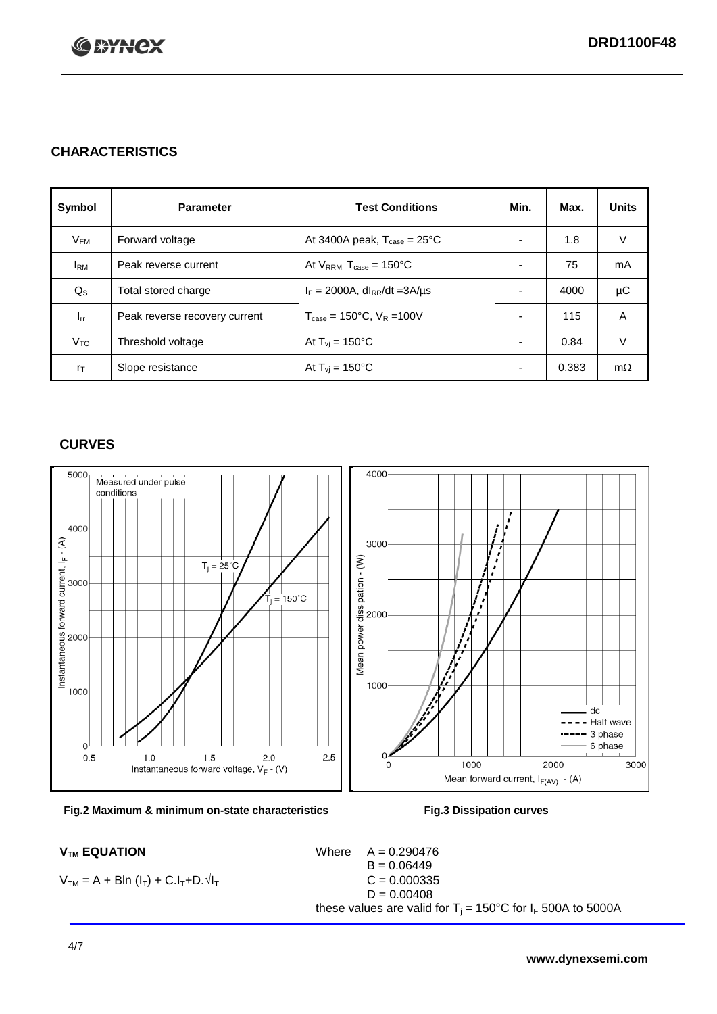

## **CHARACTERISTICS**

| Symbol         | <b>Parameter</b>              | <b>Test Conditions</b>                          | Min.                     | Max.  | <b>Units</b> |
|----------------|-------------------------------|-------------------------------------------------|--------------------------|-------|--------------|
| $V_{FM}$       | Forward voltage               | At 3400A peak, $T_{\text{case}} = 25^{\circ}C$  |                          | 1.8   | V            |
| <b>I</b> RM    | Peak reverse current          | At $V_{RRM}$ , $T_{case} = 150^{\circ}C$        | $\overline{\phantom{0}}$ | 75    | mA           |
| $Q_{\rm S}$    | Total stored charge           | $I_F = 2000A$ , dl <sub>RR</sub> /dt = 3A/µs    |                          | 4000  | μC           |
| $I_{rr}$       | Peak reverse recovery current | $T_{\text{case}} = 150^{\circ}$ C, $V_R = 100V$ | $\overline{\phantom{0}}$ | 115   | A            |
| $V_{TO}$       | Threshold voltage             | At $T_{vi}$ = 150 $^{\circ}$ C                  | $\overline{\phantom{0}}$ | 0.84  | V            |
| $r_{\text{T}}$ | Slope resistance              | At $T_{vi}$ = 150°C                             | $\overline{\phantom{0}}$ | 0.383 | $m\Omega$    |

#### **CURVES**





 $V_{TM} = A + BIn (I_T) + C.I_T + D.\sqrt{I_T}$ 

 $V_{TM}$  **EQUATION** Where  $A = 0.290476$  $B = 0.06449$ <br>C = 0.000335  $D = 0.00408$ these values are valid for  $T_i = 150^{\circ}$ C for  $I_F$  500A to 5000A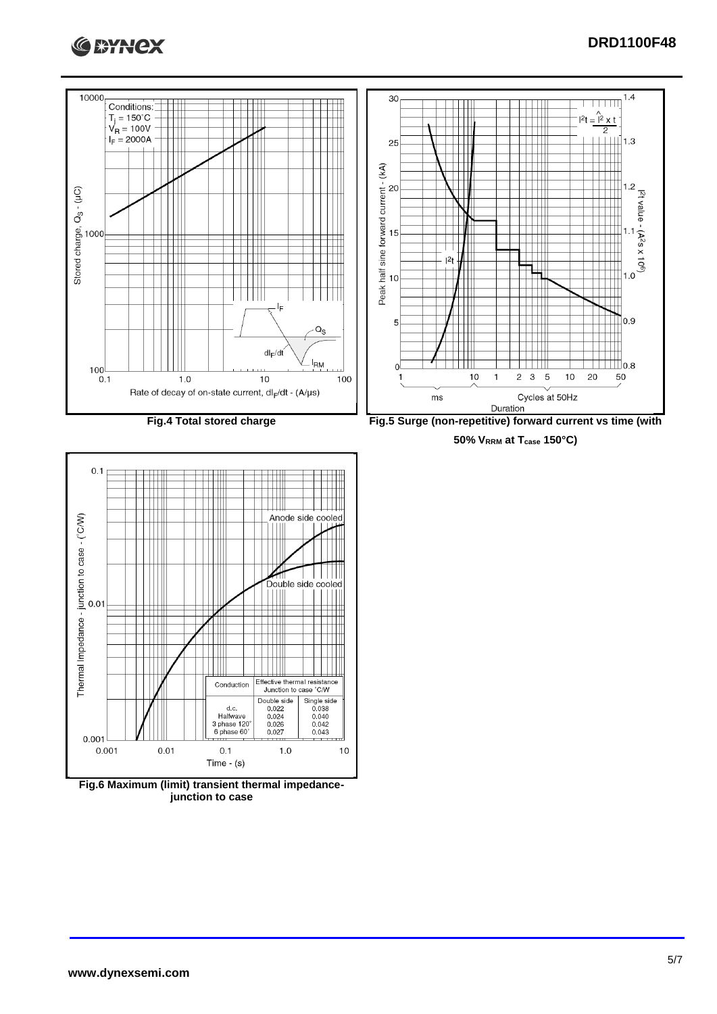



**50% VRRM at Tcase 150°C)**



**Fig.6 Maximum (limit) transient thermal impedancejunction to case**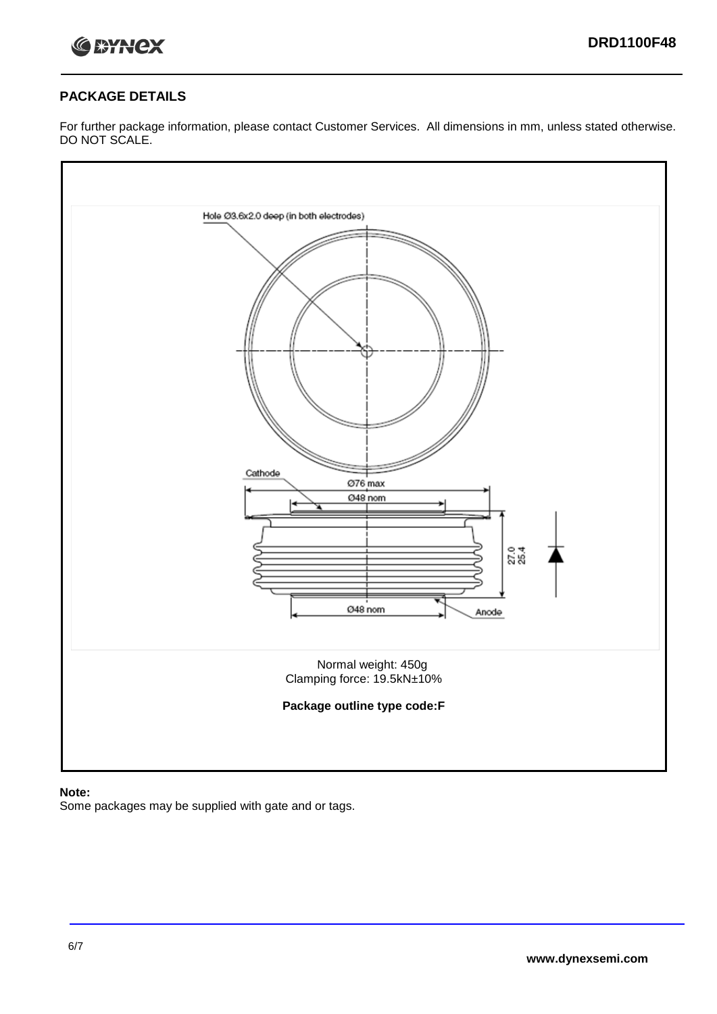

#### **PACKAGE DETAILS**

For further package information, please contact Customer Services. All dimensions in mm, unless stated otherwise. DO NOT SCALE.



#### **Note:**

Some packages may be supplied with gate and or tags.